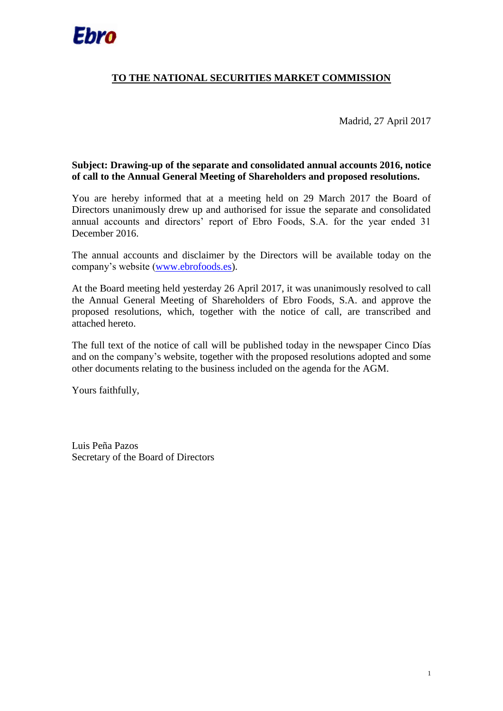

# **TO THE NATIONAL SECURITIES MARKET COMMISSION**

Madrid, 27 April 2017

### **Subject: Drawing-up of the separate and consolidated annual accounts 2016, notice of call to the Annual General Meeting of Shareholders and proposed resolutions.**

You are hereby informed that at a meeting held on 29 March 2017 the Board of Directors unanimously drew up and authorised for issue the separate and consolidated annual accounts and directors' report of Ebro Foods, S.A. for the year ended 31 December 2016.

The annual accounts and disclaimer by the Directors will be available today on the company's website [\(www.ebrofoods.es\)](http://www.ebrofoods.es/).

At the Board meeting held yesterday 26 April 2017, it was unanimously resolved to call the Annual General Meeting of Shareholders of Ebro Foods, S.A. and approve the proposed resolutions, which, together with the notice of call, are transcribed and attached hereto.

The full text of the notice of call will be published today in the newspaper Cinco Días and on the company's website, together with the proposed resolutions adopted and some other documents relating to the business included on the agenda for the AGM.

Yours faithfully,

Luis Peña Pazos Secretary of the Board of Directors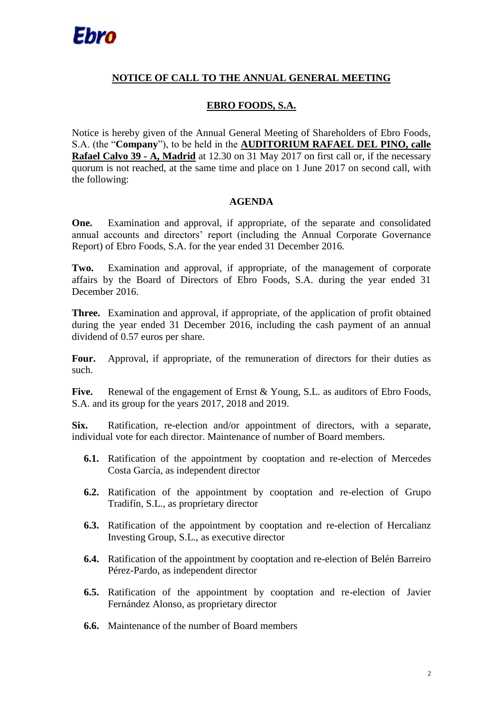# **NOTICE OF CALL TO THE ANNUAL GENERAL MEETING**

# **EBRO FOODS, S.A.**

Notice is hereby given of the Annual General Meeting of Shareholders of Ebro Foods, S.A. (the "**Company**"), to be held in the **AUDITORIUM RAFAEL DEL PINO, calle Rafael Calvo 39 - A, Madrid** at 12.30 on 31 May 2017 on first call or, if the necessary quorum is not reached, at the same time and place on 1 June 2017 on second call, with the following:

## **AGENDA**

**One.** Examination and approval, if appropriate, of the separate and consolidated annual accounts and directors' report (including the Annual Corporate Governance Report) of Ebro Foods, S.A. for the year ended 31 December 2016.

**Two.** Examination and approval, if appropriate, of the management of corporate affairs by the Board of Directors of Ebro Foods, S.A. during the year ended 31 December 2016.

**Three.** Examination and approval, if appropriate, of the application of profit obtained during the year ended 31 December 2016, including the cash payment of an annual dividend of 0.57 euros per share.

Four. Approval, if appropriate, of the remuneration of directors for their duties as such.

Five. Renewal of the engagement of Ernst & Young, S.L. as auditors of Ebro Foods, S.A. and its group for the years 2017, 2018 and 2019.

**Six.** Ratification, re-election and/or appointment of directors, with a separate, individual vote for each director. Maintenance of number of Board members.

- **6.1.** Ratification of the appointment by cooptation and re-election of Mercedes Costa García, as independent director
- **6.2.** Ratification of the appointment by cooptation and re-election of Grupo Tradifín, S.L., as proprietary director
- **6.3.** Ratification of the appointment by cooptation and re-election of Hercalianz Investing Group, S.L., as executive director
- **6.4.** Ratification of the appointment by cooptation and re-election of Belén Barreiro Pérez-Pardo, as independent director
- **6.5.** Ratification of the appointment by cooptation and re-election of Javier Fernández Alonso, as proprietary director
- **6.6.** Maintenance of the number of Board members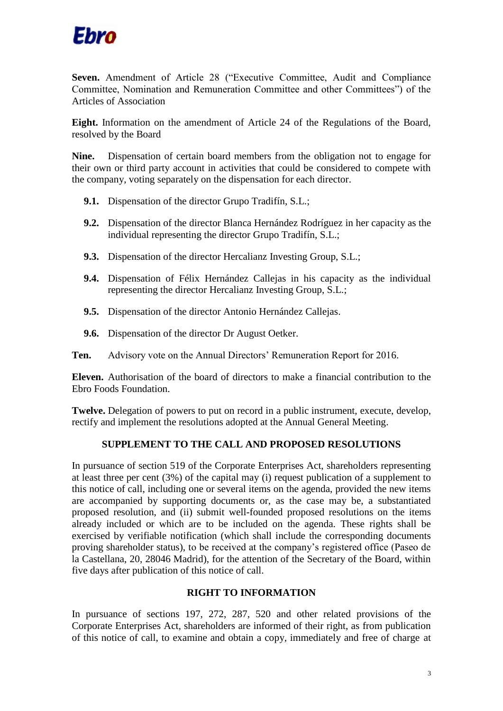

**Seven.** Amendment of Article 28 ("Executive Committee, Audit and Compliance Committee, Nomination and Remuneration Committee and other Committees") of the Articles of Association

**Eight.** Information on the amendment of Article 24 of the Regulations of the Board, resolved by the Board

**Nine.** Dispensation of certain board members from the obligation not to engage for their own or third party account in activities that could be considered to compete with the company, voting separately on the dispensation for each director.

- **9.1.** Dispensation of the director Grupo Tradifín, S.L.;
- **9.2.** Dispensation of the director Blanca Hernández Rodríguez in her capacity as the individual representing the director Grupo Tradifín, S.L.;
- **9.3.** Dispensation of the director Hercalianz Investing Group, S.L.;
- **9.4.** Dispensation of Félix Hernández Callejas in his capacity as the individual representing the director Hercalianz Investing Group, S.L.;
- **9.5.** Dispensation of the director Antonio Hernández Callejas.
- **9.6.** Dispensation of the director Dr August Oetker.

**Ten.** Advisory vote on the Annual Directors' Remuneration Report for 2016.

**Eleven.** Authorisation of the board of directors to make a financial contribution to the Ebro Foods Foundation.

**Twelve.** Delegation of powers to put on record in a public instrument, execute, develop, rectify and implement the resolutions adopted at the Annual General Meeting.

### **SUPPLEMENT TO THE CALL AND PROPOSED RESOLUTIONS**

In pursuance of section 519 of the Corporate Enterprises Act, shareholders representing at least three per cent (3%) of the capital may (i) request publication of a supplement to this notice of call, including one or several items on the agenda, provided the new items are accompanied by supporting documents or, as the case may be, a substantiated proposed resolution, and (ii) submit well-founded proposed resolutions on the items already included or which are to be included on the agenda. These rights shall be exercised by verifiable notification (which shall include the corresponding documents proving shareholder status), to be received at the company's registered office (Paseo de la Castellana, 20, 28046 Madrid), for the attention of the Secretary of the Board, within five days after publication of this notice of call.

#### **RIGHT TO INFORMATION**

In pursuance of sections 197, 272, 287, 520 and other related provisions of the Corporate Enterprises Act, shareholders are informed of their right, as from publication of this notice of call, to examine and obtain a copy, immediately and free of charge at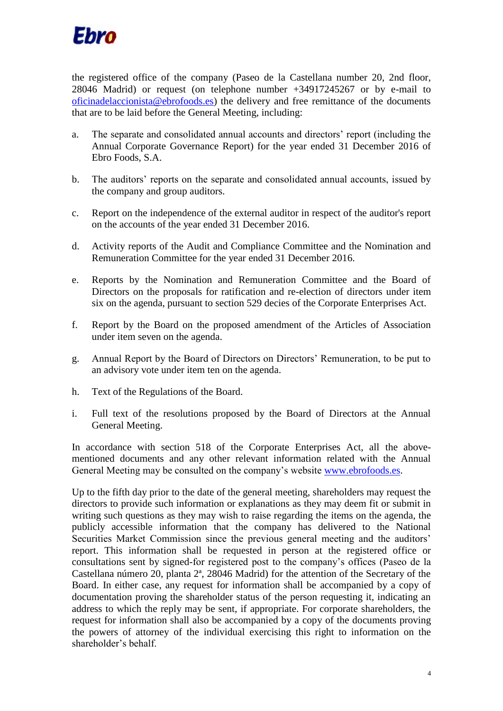

the registered office of the company (Paseo de la Castellana number 20, 2nd floor, 28046 Madrid) or request (on telephone number +34917245267 or by e-mail to [oficinadelaccionista@ebrofoods.es\)](mailto:oficinadelaccionista@ebrofoods.es) the delivery and free remittance of the documents that are to be laid before the General Meeting, including:

- a. The separate and consolidated annual accounts and directors' report (including the Annual Corporate Governance Report) for the year ended 31 December 2016 of Ebro Foods, S.A.
- b. The auditors' reports on the separate and consolidated annual accounts, issued by the company and group auditors.
- c. Report on the independence of the external auditor in respect of the auditor's report on the accounts of the year ended 31 December 2016.
- d. Activity reports of the Audit and Compliance Committee and the Nomination and Remuneration Committee for the year ended 31 December 2016.
- e. Reports by the Nomination and Remuneration Committee and the Board of Directors on the proposals for ratification and re-election of directors under item six on the agenda, pursuant to section 529 decies of the Corporate Enterprises Act.
- f. Report by the Board on the proposed amendment of the Articles of Association under item seven on the agenda.
- g. Annual Report by the Board of Directors on Directors' Remuneration, to be put to an advisory vote under item ten on the agenda.
- h. Text of the Regulations of the Board.
- i. Full text of the resolutions proposed by the Board of Directors at the Annual General Meeting.

In accordance with section 518 of the Corporate Enterprises Act, all the abovementioned documents and any other relevant information related with the Annual General Meeting may be consulted on the company's website [www.ebrofoods.es.](http://www.ebrofoods.es/)

Up to the fifth day prior to the date of the general meeting, shareholders may request the directors to provide such information or explanations as they may deem fit or submit in writing such questions as they may wish to raise regarding the items on the agenda, the publicly accessible information that the company has delivered to the National Securities Market Commission since the previous general meeting and the auditors' report. This information shall be requested in person at the registered office or consultations sent by signed-for registered post to the company's offices (Paseo de la Castellana número 20, planta 2ª, 28046 Madrid) for the attention of the Secretary of the Board. In either case, any request for information shall be accompanied by a copy of documentation proving the shareholder status of the person requesting it, indicating an address to which the reply may be sent, if appropriate. For corporate shareholders, the request for information shall also be accompanied by a copy of the documents proving the powers of attorney of the individual exercising this right to information on the shareholder's behalf.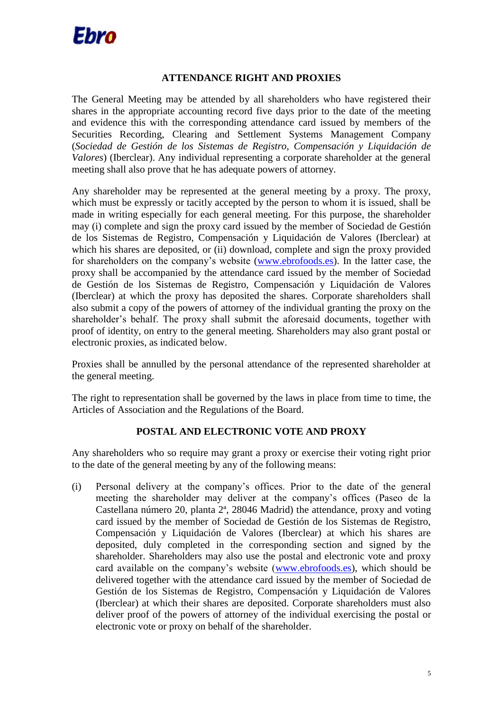

### **ATTENDANCE RIGHT AND PROXIES**

The General Meeting may be attended by all shareholders who have registered their shares in the appropriate accounting record five days prior to the date of the meeting and evidence this with the corresponding attendance card issued by members of the Securities Recording, Clearing and Settlement Systems Management Company (*Sociedad de Gestión de los Sistemas de Registro, Compensación y Liquidación de Valores*) (Iberclear). Any individual representing a corporate shareholder at the general meeting shall also prove that he has adequate powers of attorney.

Any shareholder may be represented at the general meeting by a proxy. The proxy, which must be expressly or tacitly accepted by the person to whom it is issued, shall be made in writing especially for each general meeting. For this purpose, the shareholder may (i) complete and sign the proxy card issued by the member of Sociedad de Gestión de los Sistemas de Registro, Compensación y Liquidación de Valores (Iberclear) at which his shares are deposited, or (ii) download, complete and sign the proxy provided for shareholders on the company's website [\(www.ebrofoods.es\)](http://www.ebrofoods.es/). In the latter case, the proxy shall be accompanied by the attendance card issued by the member of Sociedad de Gestión de los Sistemas de Registro, Compensación y Liquidación de Valores (Iberclear) at which the proxy has deposited the shares. Corporate shareholders shall also submit a copy of the powers of attorney of the individual granting the proxy on the shareholder's behalf. The proxy shall submit the aforesaid documents, together with proof of identity, on entry to the general meeting. Shareholders may also grant postal or electronic proxies, as indicated below.

Proxies shall be annulled by the personal attendance of the represented shareholder at the general meeting.

The right to representation shall be governed by the laws in place from time to time, the Articles of Association and the Regulations of the Board.

# **POSTAL AND ELECTRONIC VOTE AND PROXY**

Any shareholders who so require may grant a proxy or exercise their voting right prior to the date of the general meeting by any of the following means:

(i) Personal delivery at the company's offices. Prior to the date of the general meeting the shareholder may deliver at the company's offices (Paseo de la Castellana número 20, planta 2ª, 28046 Madrid) the attendance, proxy and voting card issued by the member of Sociedad de Gestión de los Sistemas de Registro, Compensación y Liquidación de Valores (Iberclear) at which his shares are deposited, duly completed in the corresponding section and signed by the shareholder. Shareholders may also use the postal and electronic vote and proxy card available on the company's website [\(www.ebrofoods.es\)](http://www.ebrofoods.es/), which should be delivered together with the attendance card issued by the member of Sociedad de Gestión de los Sistemas de Registro, Compensación y Liquidación de Valores (Iberclear) at which their shares are deposited. Corporate shareholders must also deliver proof of the powers of attorney of the individual exercising the postal or electronic vote or proxy on behalf of the shareholder.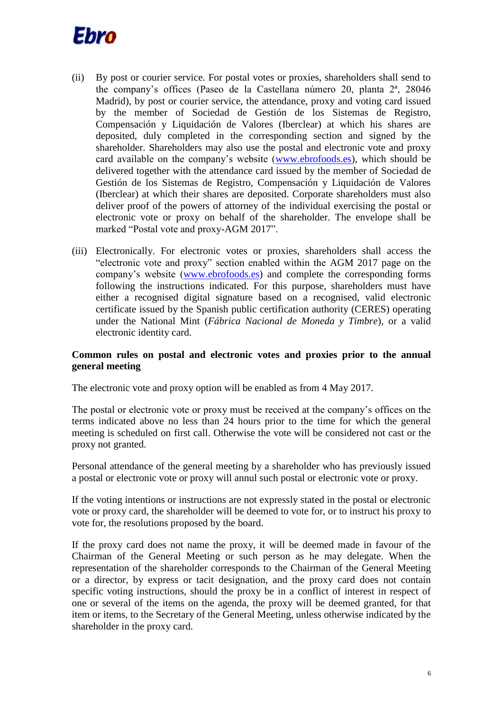

- (ii) By post or courier service. For postal votes or proxies, shareholders shall send to the company's offices (Paseo de la Castellana número 20, planta 2ª, 28046 Madrid), by post or courier service, the attendance, proxy and voting card issued by the member of Sociedad de Gestión de los Sistemas de Registro, Compensación y Liquidación de Valores (Iberclear) at which his shares are deposited, duly completed in the corresponding section and signed by the shareholder. Shareholders may also use the postal and electronic vote and proxy card available on the company's website [\(www.ebrofoods.es\)](http://www.ebrofoods.es/), which should be delivered together with the attendance card issued by the member of Sociedad de Gestión de los Sistemas de Registro, Compensación y Liquidación de Valores (Iberclear) at which their shares are deposited. Corporate shareholders must also deliver proof of the powers of attorney of the individual exercising the postal or electronic vote or proxy on behalf of the shareholder. The envelope shall be marked "Postal vote and proxy-AGM 2017".
- (iii) Electronically. For electronic votes or proxies, shareholders shall access the "electronic vote and proxy" section enabled within the AGM 2017 page on the company's website [\(www.ebrofoods.es\)](http://www.ebrofoods.es/) and complete the corresponding forms following the instructions indicated. For this purpose, shareholders must have either a recognised digital signature based on a recognised, valid electronic certificate issued by the Spanish public certification authority (CERES) operating under the National Mint (*Fábrica Nacional de Moneda y Timbre*), or a valid electronic identity card.

### **Common rules on postal and electronic votes and proxies prior to the annual general meeting**

The electronic vote and proxy option will be enabled as from 4 May 2017.

The postal or electronic vote or proxy must be received at the company's offices on the terms indicated above no less than 24 hours prior to the time for which the general meeting is scheduled on first call. Otherwise the vote will be considered not cast or the proxy not granted.

Personal attendance of the general meeting by a shareholder who has previously issued a postal or electronic vote or proxy will annul such postal or electronic vote or proxy.

If the voting intentions or instructions are not expressly stated in the postal or electronic vote or proxy card, the shareholder will be deemed to vote for, or to instruct his proxy to vote for, the resolutions proposed by the board.

If the proxy card does not name the proxy, it will be deemed made in favour of the Chairman of the General Meeting or such person as he may delegate. When the representation of the shareholder corresponds to the Chairman of the General Meeting or a director, by express or tacit designation, and the proxy card does not contain specific voting instructions, should the proxy be in a conflict of interest in respect of one or several of the items on the agenda, the proxy will be deemed granted, for that item or items, to the Secretary of the General Meeting, unless otherwise indicated by the shareholder in the proxy card.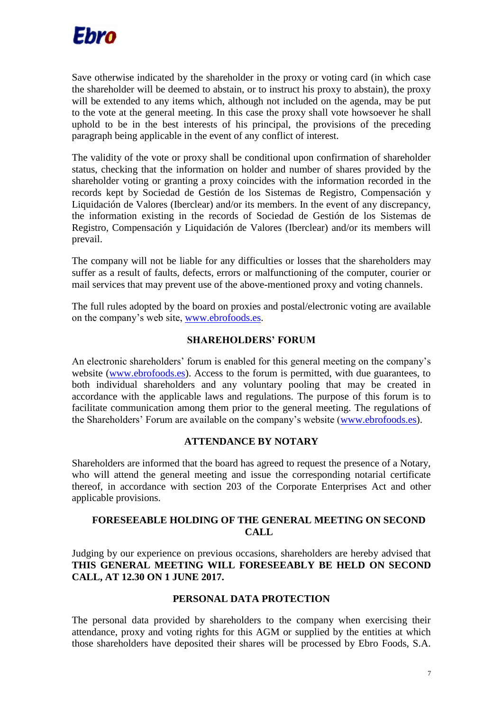

Save otherwise indicated by the shareholder in the proxy or voting card (in which case the shareholder will be deemed to abstain, or to instruct his proxy to abstain), the proxy will be extended to any items which, although not included on the agenda, may be put to the vote at the general meeting. In this case the proxy shall vote howsoever he shall uphold to be in the best interests of his principal, the provisions of the preceding paragraph being applicable in the event of any conflict of interest.

The validity of the vote or proxy shall be conditional upon confirmation of shareholder status, checking that the information on holder and number of shares provided by the shareholder voting or granting a proxy coincides with the information recorded in the records kept by Sociedad de Gestión de los Sistemas de Registro, Compensación y Liquidación de Valores (Iberclear) and/or its members. In the event of any discrepancy, the information existing in the records of Sociedad de Gestión de los Sistemas de Registro, Compensación y Liquidación de Valores (Iberclear) and/or its members will prevail.

The company will not be liable for any difficulties or losses that the shareholders may suffer as a result of faults, defects, errors or malfunctioning of the computer, courier or mail services that may prevent use of the above-mentioned proxy and voting channels.

The full rules adopted by the board on proxies and postal/electronic voting are available on the company's web site, [www.ebrofoods.es.](http://www.ebrofoods.es/)

## **SHAREHOLDERS' FORUM**

An electronic shareholders' forum is enabled for this general meeting on the company's website [\(www.ebrofoods.es\)](http://www.ebrofoods.es/). Access to the forum is permitted, with due guarantees, to both individual shareholders and any voluntary pooling that may be created in accordance with the applicable laws and regulations. The purpose of this forum is to facilitate communication among them prior to the general meeting. The regulations of the Shareholders' Forum are available on the company's website [\(www.ebrofoods.es\)](http://www.ebrofoods.es/).

### **ATTENDANCE BY NOTARY**

Shareholders are informed that the board has agreed to request the presence of a Notary, who will attend the general meeting and issue the corresponding notarial certificate thereof, in accordance with section 203 of the Corporate Enterprises Act and other applicable provisions.

## **FORESEEABLE HOLDING OF THE GENERAL MEETING ON SECOND CALL**

Judging by our experience on previous occasions, shareholders are hereby advised that **THIS GENERAL MEETING WILL FORESEEABLY BE HELD ON SECOND CALL, AT 12.30 ON 1 JUNE 2017.**

### **PERSONAL DATA PROTECTION**

The personal data provided by shareholders to the company when exercising their attendance, proxy and voting rights for this AGM or supplied by the entities at which those shareholders have deposited their shares will be processed by Ebro Foods, S.A.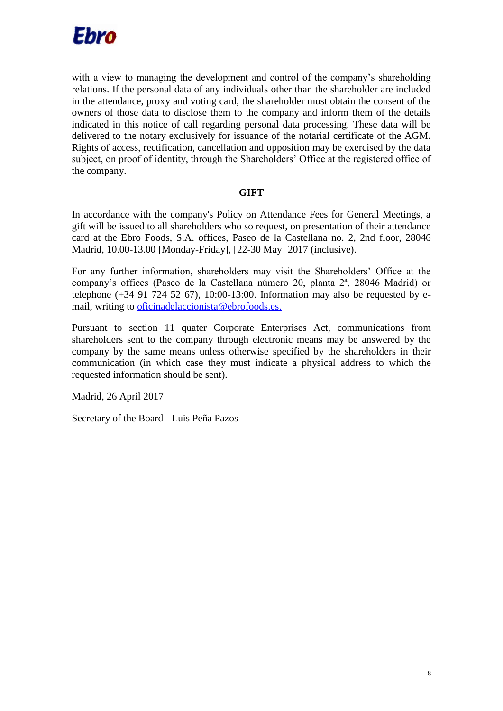

with a view to managing the development and control of the company's shareholding relations. If the personal data of any individuals other than the shareholder are included in the attendance, proxy and voting card, the shareholder must obtain the consent of the owners of those data to disclose them to the company and inform them of the details indicated in this notice of call regarding personal data processing. These data will be delivered to the notary exclusively for issuance of the notarial certificate of the AGM. Rights of access, rectification, cancellation and opposition may be exercised by the data subject, on proof of identity, through the Shareholders' Office at the registered office of the company.

### **GIFT**

In accordance with the company's Policy on Attendance Fees for General Meetings, a gift will be issued to all shareholders who so request, on presentation of their attendance card at the Ebro Foods, S.A. offices, Paseo de la Castellana no. 2, 2nd floor, 28046 Madrid, 10.00-13.00 [Monday-Friday], [22-30 May] 2017 (inclusive).

For any further information, shareholders may visit the Shareholders' Office at the company's offices (Paseo de la Castellana número 20, planta 2ª, 28046 Madrid) or telephone  $(+34 91 724 52 67)$ , 10:00-13:00. Information may also be requested by email, writing to [oficinadelaccionista@ebrofoods.es.](mailto:oficinadelaccionista@ebrofoods.es)

Pursuant to section 11 quater Corporate Enterprises Act, communications from shareholders sent to the company through electronic means may be answered by the company by the same means unless otherwise specified by the shareholders in their communication (in which case they must indicate a physical address to which the requested information should be sent).

Madrid, 26 April 2017

Secretary of the Board - Luis Peña Pazos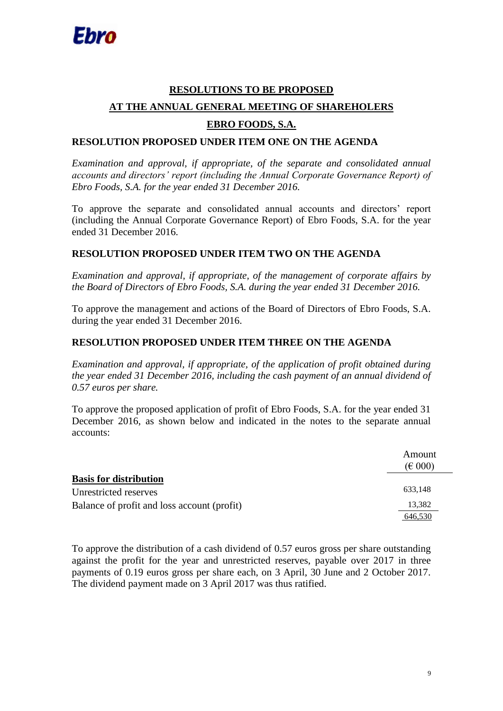# **RESOLUTIONS TO BE PROPOSED AT THE ANNUAL GENERAL MEETING OF SHAREHOLERS EBRO FOODS, S.A.**

# **RESOLUTION PROPOSED UNDER ITEM ONE ON THE AGENDA**

*Examination and approval, if appropriate, of the separate and consolidated annual accounts and directors' report (including the Annual Corporate Governance Report) of Ebro Foods, S.A. for the year ended 31 December 2016.*

To approve the separate and consolidated annual accounts and directors' report (including the Annual Corporate Governance Report) of Ebro Foods, S.A. for the year ended 31 December 2016.

## **RESOLUTION PROPOSED UNDER ITEM TWO ON THE AGENDA**

*Examination and approval, if appropriate, of the management of corporate affairs by the Board of Directors of Ebro Foods, S.A. during the year ended 31 December 2016.*

To approve the management and actions of the Board of Directors of Ebro Foods, S.A. during the year ended 31 December 2016.

### **RESOLUTION PROPOSED UNDER ITEM THREE ON THE AGENDA**

*Examination and approval, if appropriate, of the application of profit obtained during the year ended 31 December 2016, including the cash payment of an annual dividend of 0.57 euros per share.*

To approve the proposed application of profit of Ebro Foods, S.A. for the year ended 31 December 2016, as shown below and indicated in the notes to the separate annual accounts:

|                                             | Amount<br>$(\text{\large\ensuremath{\in}} 000)$ |
|---------------------------------------------|-------------------------------------------------|
| <b>Basis for distribution</b>               |                                                 |
| Unrestricted reserves                       | 633,148                                         |
| Balance of profit and loss account (profit) | 13,382                                          |
|                                             | 646.530                                         |

To approve the distribution of a cash dividend of 0.57 euros gross per share outstanding against the profit for the year and unrestricted reserves, payable over 2017 in three payments of 0.19 euros gross per share each, on 3 April, 30 June and 2 October 2017. The dividend payment made on 3 April 2017 was thus ratified.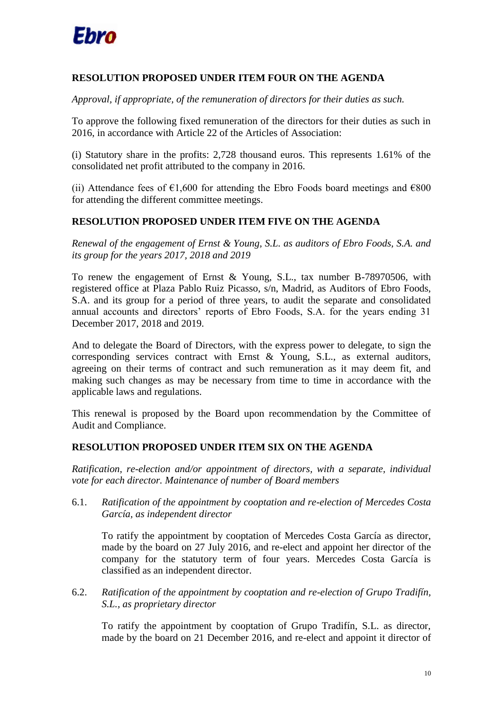

# **RESOLUTION PROPOSED UNDER ITEM FOUR ON THE AGENDA**

*Approval, if appropriate, of the remuneration of directors for their duties as such.*

To approve the following fixed remuneration of the directors for their duties as such in 2016, in accordance with Article 22 of the Articles of Association:

(i) Statutory share in the profits: 2,728 thousand euros. This represents 1.61% of the consolidated net profit attributed to the company in 2016.

(ii) Attendance fees of  $\epsilon 1,600$  for attending the Ebro Foods board meetings and  $\epsilon 800$ for attending the different committee meetings.

# **RESOLUTION PROPOSED UNDER ITEM FIVE ON THE AGENDA**

*Renewal of the engagement of Ernst & Young, S.L. as auditors of Ebro Foods, S.A. and its group for the years 2017, 2018 and 2019*

To renew the engagement of Ernst & Young, S.L., tax number B-78970506, with registered office at Plaza Pablo Ruiz Picasso, s/n, Madrid, as Auditors of Ebro Foods, S.A. and its group for a period of three years, to audit the separate and consolidated annual accounts and directors' reports of Ebro Foods, S.A. for the years ending 31 December 2017, 2018 and 2019.

And to delegate the Board of Directors, with the express power to delegate, to sign the corresponding services contract with Ernst & Young, S.L., as external auditors, agreeing on their terms of contract and such remuneration as it may deem fit, and making such changes as may be necessary from time to time in accordance with the applicable laws and regulations.

This renewal is proposed by the Board upon recommendation by the Committee of Audit and Compliance.

### **RESOLUTION PROPOSED UNDER ITEM SIX ON THE AGENDA**

*Ratification, re-election and/or appointment of directors, with a separate, individual vote for each director. Maintenance of number of Board members*

6.1. *Ratification of the appointment by cooptation and re-election of Mercedes Costa García, as independent director*

To ratify the appointment by cooptation of Mercedes Costa García as director, made by the board on 27 July 2016, and re-elect and appoint her director of the company for the statutory term of four years. Mercedes Costa García is classified as an independent director.

6.2. *Ratification of the appointment by cooptation and re-election of Grupo Tradifín, S.L., as proprietary director*

To ratify the appointment by cooptation of Grupo Tradifín, S.L. as director, made by the board on 21 December 2016, and re-elect and appoint it director of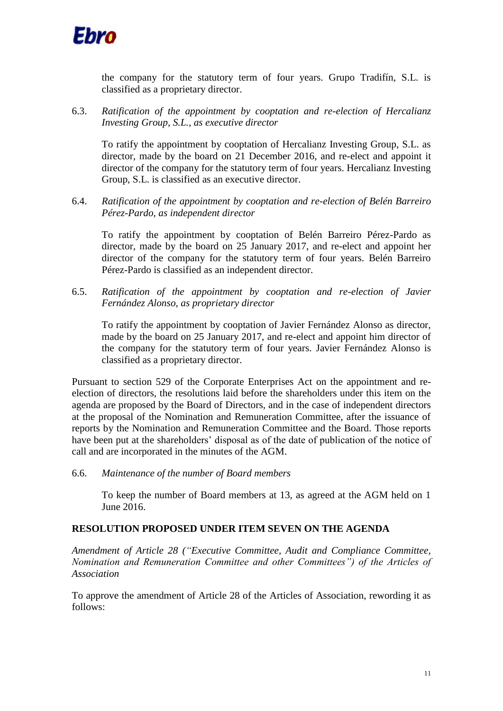

the company for the statutory term of four years. Grupo Tradifín, S.L. is classified as a proprietary director.

6.3. *Ratification of the appointment by cooptation and re-election of Hercalianz Investing Group, S.L., as executive director*

To ratify the appointment by cooptation of Hercalianz Investing Group, S.L. as director, made by the board on 21 December 2016, and re-elect and appoint it director of the company for the statutory term of four years. Hercalianz Investing Group, S.L. is classified as an executive director.

6.4. *Ratification of the appointment by cooptation and re-election of Belén Barreiro Pérez-Pardo, as independent director*

To ratify the appointment by cooptation of Belén Barreiro Pérez-Pardo as director, made by the board on 25 January 2017, and re-elect and appoint her director of the company for the statutory term of four years. Belén Barreiro Pérez-Pardo is classified as an independent director.

6.5. *Ratification of the appointment by cooptation and re-election of Javier Fernández Alonso, as proprietary director*

To ratify the appointment by cooptation of Javier Fernández Alonso as director, made by the board on 25 January 2017, and re-elect and appoint him director of the company for the statutory term of four years. Javier Fernández Alonso is classified as a proprietary director.

Pursuant to section 529 of the Corporate Enterprises Act on the appointment and reelection of directors, the resolutions laid before the shareholders under this item on the agenda are proposed by the Board of Directors, and in the case of independent directors at the proposal of the Nomination and Remuneration Committee, after the issuance of reports by the Nomination and Remuneration Committee and the Board. Those reports have been put at the shareholders' disposal as of the date of publication of the notice of call and are incorporated in the minutes of the AGM.

6.6. *Maintenance of the number of Board members*

To keep the number of Board members at 13, as agreed at the AGM held on 1 June 2016.

### **RESOLUTION PROPOSED UNDER ITEM SEVEN ON THE AGENDA**

*Amendment of Article 28 ("Executive Committee, Audit and Compliance Committee, Nomination and Remuneration Committee and other Committees") of the Articles of Association*

To approve the amendment of Article 28 of the Articles of Association, rewording it as follows: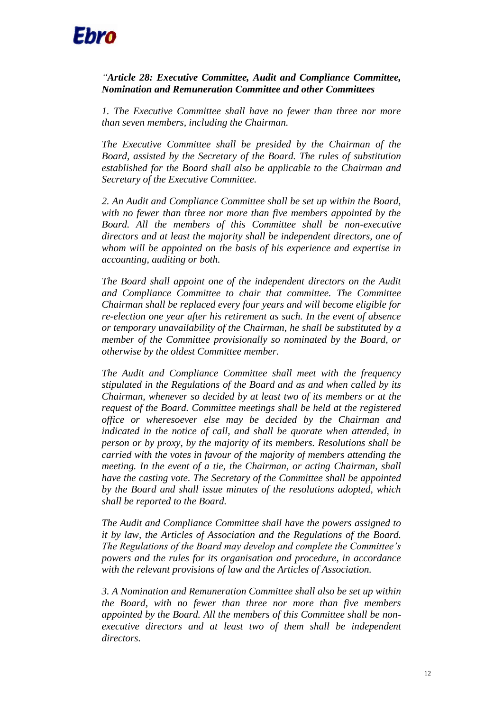

### *"Article 28: Executive Committee, Audit and Compliance Committee, Nomination and Remuneration Committee and other Committees*

*1. The Executive Committee shall have no fewer than three nor more than seven members, including the Chairman.*

*The Executive Committee shall be presided by the Chairman of the Board, assisted by the Secretary of the Board. The rules of substitution established for the Board shall also be applicable to the Chairman and Secretary of the Executive Committee.*

*2. An Audit and Compliance Committee shall be set up within the Board, with no fewer than three nor more than five members appointed by the Board. All the members of this Committee shall be non-executive directors and at least the majority shall be independent directors, one of whom will be appointed on the basis of his experience and expertise in accounting, auditing or both.*

*The Board shall appoint one of the independent directors on the Audit and Compliance Committee to chair that committee. The Committee Chairman shall be replaced every four years and will become eligible for re-election one year after his retirement as such. In the event of absence or temporary unavailability of the Chairman, he shall be substituted by a member of the Committee provisionally so nominated by the Board, or otherwise by the oldest Committee member.*

*The Audit and Compliance Committee shall meet with the frequency stipulated in the Regulations of the Board and as and when called by its Chairman, whenever so decided by at least two of its members or at the request of the Board. Committee meetings shall be held at the registered office or wheresoever else may be decided by the Chairman and indicated in the notice of call, and shall be quorate when attended, in person or by proxy, by the majority of its members. Resolutions shall be carried with the votes in favour of the majority of members attending the meeting. In the event of a tie, the Chairman, or acting Chairman, shall have the casting vote. The Secretary of the Committee shall be appointed by the Board and shall issue minutes of the resolutions adopted, which shall be reported to the Board.*

*The Audit and Compliance Committee shall have the powers assigned to it by law, the Articles of Association and the Regulations of the Board. The Regulations of the Board may develop and complete the Committee's powers and the rules for its organisation and procedure, in accordance with the relevant provisions of law and the Articles of Association.*

*3. A Nomination and Remuneration Committee shall also be set up within the Board, with no fewer than three nor more than five members appointed by the Board. All the members of this Committee shall be non*executive directors and at least two of them shall be independent *directors.*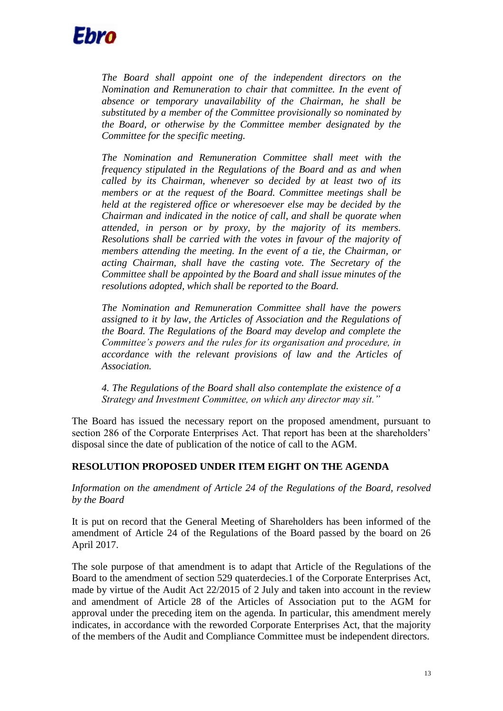

*The Board shall appoint one of the independent directors on the Nomination and Remuneration to chair that committee. In the event of absence or temporary unavailability of the Chairman, he shall be substituted by a member of the Committee provisionally so nominated by the Board, or otherwise by the Committee member designated by the Committee for the specific meeting.*

*The Nomination and Remuneration Committee shall meet with the frequency stipulated in the Regulations of the Board and as and when called by its Chairman, whenever so decided by at least two of its members or at the request of the Board. Committee meetings shall be held at the registered office or wheresoever else may be decided by the Chairman and indicated in the notice of call, and shall be quorate when attended, in person or by proxy, by the majority of its members. Resolutions shall be carried with the votes in favour of the majority of members attending the meeting. In the event of a tie, the Chairman, or acting Chairman, shall have the casting vote. The Secretary of the Committee shall be appointed by the Board and shall issue minutes of the resolutions adopted, which shall be reported to the Board.*

*The Nomination and Remuneration Committee shall have the powers assigned to it by law, the Articles of Association and the Regulations of the Board. The Regulations of the Board may develop and complete the Committee's powers and the rules for its organisation and procedure, in accordance with the relevant provisions of law and the Articles of Association.*

*4. The Regulations of the Board shall also contemplate the existence of a Strategy and Investment Committee, on which any director may sit."*

The Board has issued the necessary report on the proposed amendment, pursuant to section 286 of the Corporate Enterprises Act. That report has been at the shareholders' disposal since the date of publication of the notice of call to the AGM.

### **RESOLUTION PROPOSED UNDER ITEM EIGHT ON THE AGENDA**

*Information on the amendment of Article 24 of the Regulations of the Board, resolved by the Board*

It is put on record that the General Meeting of Shareholders has been informed of the amendment of Article 24 of the Regulations of the Board passed by the board on 26 April 2017.

The sole purpose of that amendment is to adapt that Article of the Regulations of the Board to the amendment of section 529 quaterdecies.1 of the Corporate Enterprises Act, made by virtue of the Audit Act 22/2015 of 2 July and taken into account in the review and amendment of Article 28 of the Articles of Association put to the AGM for approval under the preceding item on the agenda. In particular, this amendment merely indicates, in accordance with the reworded Corporate Enterprises Act, that the majority of the members of the Audit and Compliance Committee must be independent directors.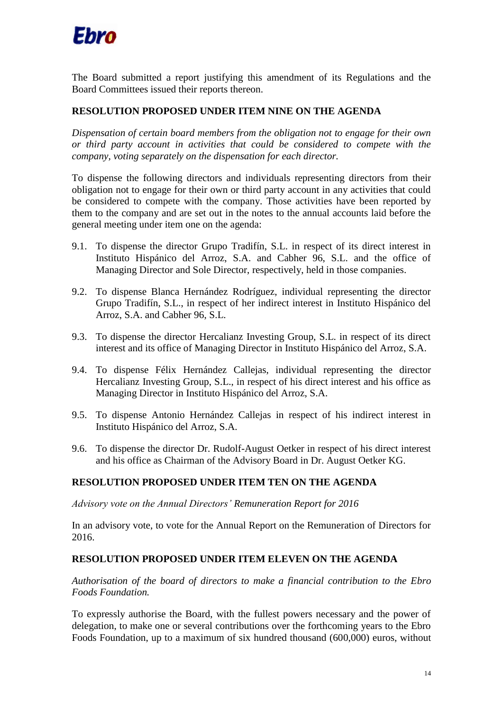

The Board submitted a report justifying this amendment of its Regulations and the Board Committees issued their reports thereon.

### **RESOLUTION PROPOSED UNDER ITEM NINE ON THE AGENDA**

*Dispensation of certain board members from the obligation not to engage for their own or third party account in activities that could be considered to compete with the company, voting separately on the dispensation for each director.*

To dispense the following directors and individuals representing directors from their obligation not to engage for their own or third party account in any activities that could be considered to compete with the company. Those activities have been reported by them to the company and are set out in the notes to the annual accounts laid before the general meeting under item one on the agenda:

- 9.1. To dispense the director Grupo Tradifín, S.L. in respect of its direct interest in Instituto Hispánico del Arroz, S.A. and Cabher 96, S.L. and the office of Managing Director and Sole Director, respectively, held in those companies.
- 9.2. To dispense Blanca Hernández Rodríguez, individual representing the director Grupo Tradifín, S.L., in respect of her indirect interest in Instituto Hispánico del Arroz, S.A. and Cabher 96, S.L.
- 9.3. To dispense the director Hercalianz Investing Group, S.L. in respect of its direct interest and its office of Managing Director in Instituto Hispánico del Arroz, S.A.
- 9.4. To dispense Félix Hernández Callejas, individual representing the director Hercalianz Investing Group, S.L., in respect of his direct interest and his office as Managing Director in Instituto Hispánico del Arroz, S.A.
- 9.5. To dispense Antonio Hernández Callejas in respect of his indirect interest in Instituto Hispánico del Arroz, S.A.
- 9.6. To dispense the director Dr. Rudolf-August Oetker in respect of his direct interest and his office as Chairman of the Advisory Board in Dr. August Oetker KG.

### **RESOLUTION PROPOSED UNDER ITEM TEN ON THE AGENDA**

*Advisory vote on the Annual Directors' Remuneration Report for 2016*

In an advisory vote, to vote for the Annual Report on the Remuneration of Directors for 2016.

### **RESOLUTION PROPOSED UNDER ITEM ELEVEN ON THE AGENDA**

*Authorisation of the board of directors to make a financial contribution to the Ebro Foods Foundation.*

To expressly authorise the Board, with the fullest powers necessary and the power of delegation, to make one or several contributions over the forthcoming years to the Ebro Foods Foundation, up to a maximum of six hundred thousand (600,000) euros, without